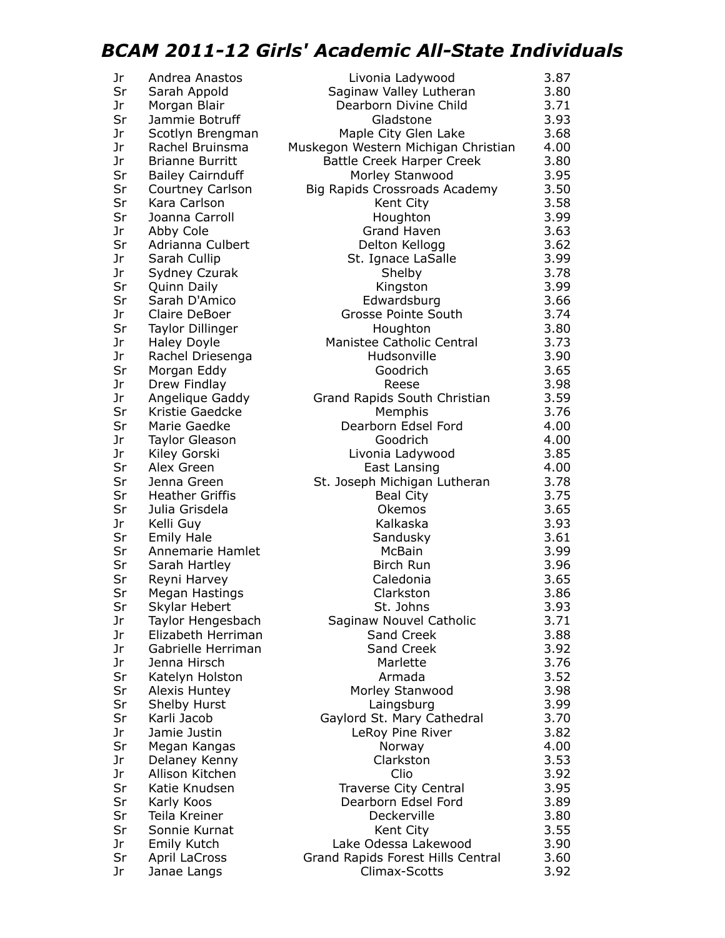## *BCAM 2011-12 Girls' Academic All-State Individuals*

| Jr | Andrea Anastos          | Livonia Ladywood                                   | 3.87         |
|----|-------------------------|----------------------------------------------------|--------------|
| Sr | Sarah Appold            | Saginaw Valley Lutheran                            | 3.80         |
| Jr |                         |                                                    |              |
|    | Morgan Blair            | Dearborn Divine Child                              | 3.71         |
| Sr | Jammie Botruff          | Gladstone                                          | 3.93         |
| Jr | Scotlyn Brengman        | Maple City Glen Lake                               | 3.68         |
| Jr | Rachel Bruinsma         | Muskegon Western Michigan Christian                | 4.00         |
| Jr | <b>Brianne Burritt</b>  | <b>Battle Creek Harper Creek</b>                   | 3.80         |
| Sr | <b>Bailey Cairnduff</b> | Morley Stanwood                                    | 3.95         |
| Sr | Courtney Carlson        | Big Rapids Crossroads Academy                      | 3.50         |
| Sr | Kara Carlson            | Kent City                                          | 3.58         |
| Sr | Joanna Carroll          | Houghton                                           | 3.99         |
| Jr | Abby Cole               | <b>Grand Haven</b>                                 | 3.63         |
| Sr | Adrianna Culbert        | Delton Kellogg                                     | 3.62         |
| Jr | Sarah Cullip            | St. Ignace LaSalle                                 | 3.99         |
| Jr | Sydney Czurak           | Shelby                                             | 3.78         |
| Sr | Quinn Daily             | Kingston                                           | 3.99         |
| Sr | Sarah D'Amico           | Edwardsburg                                        | 3.66         |
| Jr | Claire DeBoer           | Grosse Pointe South                                | 3.74         |
| Sr | Taylor Dillinger        | Houghton                                           | 3.80         |
| Jr | <b>Haley Doyle</b>      | Manistee Catholic Central                          | 3.73         |
| Jr | Rachel Driesenga        | Hudsonville                                        | 3.90         |
| Sr | Morgan Eddy             | Goodrich                                           | 3.65         |
| Jr | Drew Findlay            | Reese                                              | 3.98         |
| Jr | Angelique Gaddy         | Grand Rapids South Christian                       | 3.59         |
| Sr | Kristie Gaedcke         | Memphis                                            | 3.76         |
| Sr | Marie Gaedke            | Dearborn Edsel Ford                                | 4.00         |
| Jr | <b>Taylor Gleason</b>   | Goodrich                                           | 4.00         |
| Jr | Kiley Gorski            | Livonia Ladywood                                   | 3.85         |
| Sr | Alex Green              | East Lansing                                       | 4.00         |
| Sr | Jenna Green             | St. Joseph Michigan Lutheran                       | 3.78         |
| Sr | <b>Heather Griffis</b>  | <b>Beal City</b>                                   | 3.75         |
| Sr | Julia Grisdela          | Okemos                                             | 3.65         |
| Jr | Kelli Guy               | Kalkaska                                           | 3.93         |
| Sr | <b>Emily Hale</b>       | Sandusky                                           | 3.61         |
| Sr | Annemarie Hamlet        | McBain                                             | 3.99         |
| Sr | Sarah Hartley           | Birch Run                                          | 3.96         |
| Sr | Reyni Harvey            | Caledonia                                          | 3.65         |
| Sr | Megan Hastings          | Clarkston                                          | 3.86         |
| Sr | Skylar Hebert           | St. Johns                                          | 3.93         |
| Jr | Taylor Hengesbach       | Saginaw Nouvel Catholic                            | 3.71         |
| Jr | Elizabeth Herriman      | Sand Creek                                         | 3.88         |
| Jr | Gabrielle Herriman      | Sand Creek                                         | 3.92         |
| Jr | Jenna Hirsch            | Marlette                                           | 3.76         |
| Sr | Katelyn Holston         | Armada                                             | 3.52         |
| Sr | Alexis Huntey           | Morley Stanwood                                    | 3.98         |
| Sr | Shelby Hurst            | Laingsburg                                         | 3.99         |
| Sr | Karli Jacob             | Gaylord St. Mary Cathedral                         | 3.70         |
| Jr | Jamie Justin            | LeRoy Pine River                                   | 3.82         |
| Sr | Megan Kangas            | Norway                                             | 4.00         |
| Jr | Delaney Kenny           | Clarkston                                          | 3.53         |
| Jr | Allison Kitchen         | Clio                                               | 3.92         |
| Sr | Katie Knudsen           | Traverse City Central                              | 3.95         |
| Sr | Karly Koos              | Dearborn Edsel Ford                                | 3.89         |
| Sr | Teila Kreiner           | Deckerville                                        | 3.80         |
| Sr | Sonnie Kurnat           |                                                    | 3.55         |
| Jr |                         | Kent City<br>Lake Odessa Lakewood                  |              |
| Sr | <b>Emily Kutch</b>      |                                                    | 3.90<br>3.60 |
| Jr | April LaCross           | Grand Rapids Forest Hills Central<br>Climax-Scotts | 3.92         |
|    | Janae Langs             |                                                    |              |